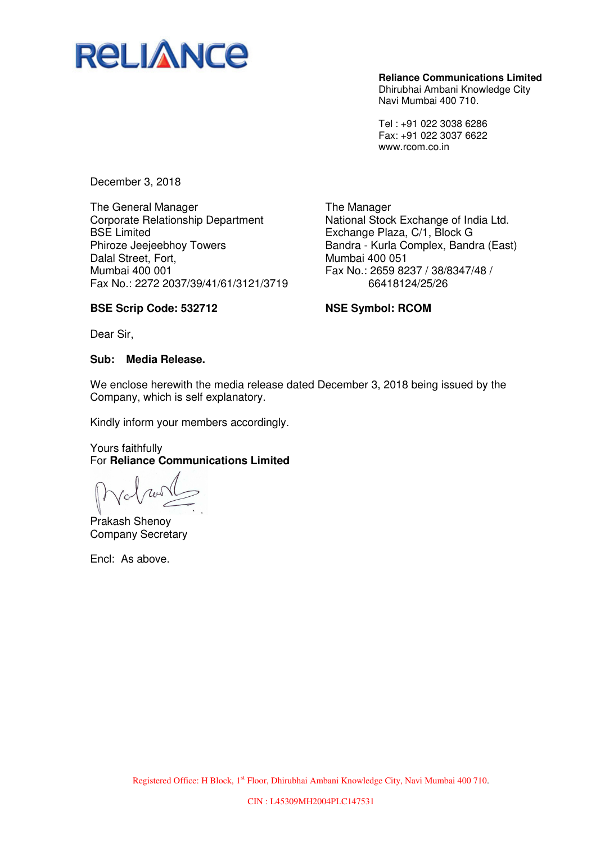

**Reliance Communications Limited** 

Dhirubhai Ambani Knowledge City Navi Mumbai 400 710.

Tel : +91 022 3038 6286 Fax: +91 022 3037 6622 www.rcom.co.in

December 3, 2018

The General Manager Corporate Relationship Department BSE Limited Phiroze Jeejeebhoy Towers Dalal Street, Fort, Mumbai 400 001 Fax No.: 2272 2037/39/41/61/3121/3719

The Manager National Stock Exchange of India Ltd. Exchange Plaza, C/1, Block G Bandra - Kurla Complex, Bandra (East) Mumbai 400 051 Fax No.: 2659 8237 / 38/8347/48 / 66418124/25/26

#### **BSE Scrip Code: 532712**

**NSE Symbol: RCOM** 

Dear Sir,

#### **Sub: Media Release.**

We enclose herewith the media release dated December 3, 2018 being issued by the Company, which is self explanatory.

Kindly inform your members accordingly.

Yours faithfully For **Reliance Communications Limited** 

Prakash Shenoy Company Secretary

Encl: As above.